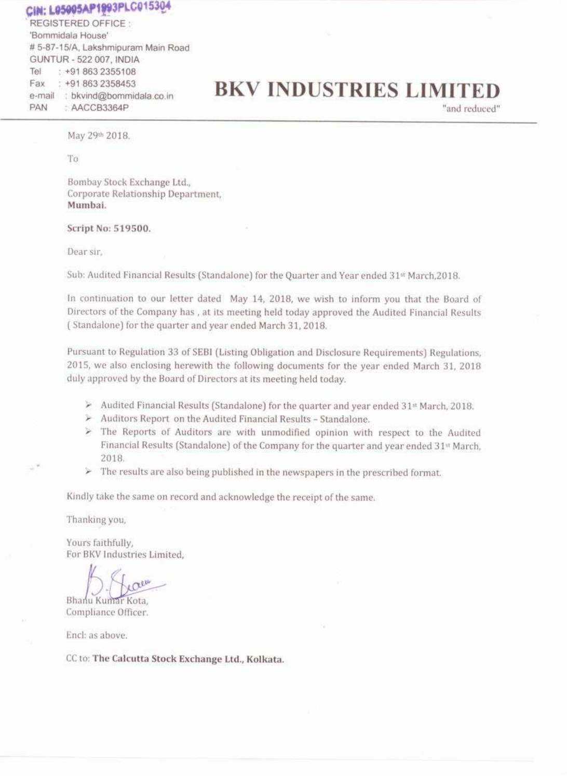## CIN: L05005AP1993PLC015304

REGISTERED OFFICE: 'Bornmidala House' # 5-87-15/A, Lakshmipuram Main Road GUNTUR - 522 007, INDIA  $: +918632355108$ Tel Fax : +91 863 2358453 e-mail : bkvind@bommidala.co.in PAN : AACCB3364P

# **BKV INDUSTRIES LIMITED**

"and reduced"

May 29th 2018.

To

Bombay Stock Exchange Ltd., Corporate Relationship Department, Mumbai.

Script No: 519500.

Dear sir,

Sub: Audited Financial Results (Standalone) for the Quarter and Year ended 31st March, 2018.

In continuation to our letter dated May 14, 2018, we wish to inform you that the Board of Directors of the Company has, at its meeting held today approved the Audited Financial Results (Standalone) for the quarter and year ended March 31, 2018.

Pursuant to Regulation 33 of SEBI (Listing Obligation and Disclosure Requirements) Regulations, 2015, we also enclosing herewith the following documents for the year ended March 31, 2018 duly approved by the Board of Directors at its meeting held today.

- Audited Financial Results (Standalone) for the quarter and year ended  $31*$  March, 2018.
- $\triangleright$  Auditors Report on the Audited Financial Results Standalone.
- > The Reports of Auditors are with unmodified opinion with respect to the Audited Financial Results (Standalone) of the Company for the quarter and year ended 31<sup>th</sup> March, 2018.
- $\triangleright$  The results are also being published in the newspapers in the prescribed format.

Kindly take the same on record and acknowledge the receipt of the same.

Thanking you,

Yours faithfully, For BKV Industries Limited.

reu

#### Bhanu Kumar Kota, Compliance Officer.

Ench as above.

CC to: The Calcutta Stock Exchange Ltd., Kolkata.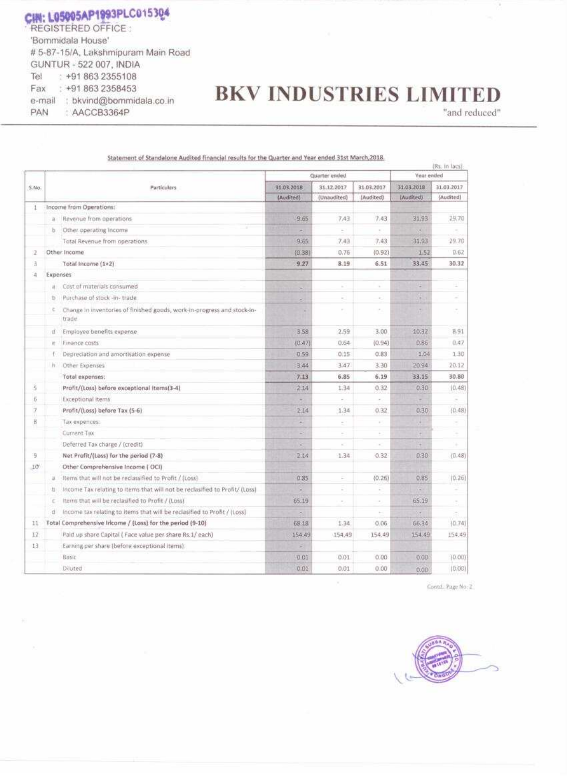CIN: L05005AP1993PLC015304 **REGISTERED OFFICE:** 'Bommidala House' # 5-87-15/A, Lakshmipuram Main Road GUNTUR - 522 007, INDIA Tel  $: +918632355108$ : +91 863 2358453 Fax e-mail : bkvind@bommidala.co.in : AACCB3364P PAN

# **BKV INDUSTRIES LIMITED**

"and reduced"

Statement of Standalone Audited financial results for the Quarter and Year ended 31st March, 2018.

|                   | Particulars   |                                                                                  | Quarter ended            |               |                | (Rs. In lacs)<br>Year ended |            |
|-------------------|---------------|----------------------------------------------------------------------------------|--------------------------|---------------|----------------|-----------------------------|------------|
| 5.90.             |               |                                                                                  | 31.03.2018<br>31.12.2017 |               | 31.03.2017     | 31.03.2018                  | 31.03.2017 |
|                   |               |                                                                                  | (Audited)                | (Unaudited)   | (Audited)      | (Audited)                   | (Audited)  |
| đ                 |               | Income from Operations:                                                          |                          |               |                |                             |            |
|                   | ä             | Revenue from operations                                                          | 9.65                     | 7.43          | 7.43           | 31.93                       | 29.70      |
|                   | b             | Other operating Income                                                           | ÷                        |               |                | ×.                          |            |
|                   |               | Total Revenue from operations                                                    | 9.65                     | 7.43          | 7,43           | 31,93                       | 29.70      |
| 2                 |               | Other income                                                                     | (0, 38)                  | 0.76          | (0.92)         | 1.52                        | 0.62       |
| з                 |               | Total Income (1+2)                                                               | 9.27                     | 8.19          | 6.51           | 33.45                       | 30.32      |
| 清                 | Expenses      |                                                                                  |                          |               |                |                             |            |
|                   | a.            | Cost of materials consumed                                                       | ×                        |               | ×              | $\pm$                       |            |
|                   | D.            | Purchase of stock -in- trade                                                     | ×                        | $\sim$        | $\sim$         | $\sim$                      |            |
|                   | c             | Change in inventories of finished goods, work-in-progress and stock-in-<br>trade |                          | $\sim$        | $\sim$         | T.                          | $\sim$     |
|                   | ū             | Employee benefits expense                                                        | 3,58                     | 2.59          | 3.00           | 10:32                       | 8.91       |
|                   | r.            | Finance costs                                                                    | (0.47)                   | 0.64          | (0.94)         | 0.86                        | 0.47.      |
|                   |               | Depreciation and amortisation expense                                            | 0.59                     | 0.15          | 0.83           | 1.04                        | 1.30       |
|                   | h.            | Other Expenses                                                                   | 3.44                     | 3.47          | 3.30           | 20.94                       | 20.12      |
|                   |               | Total expenses:                                                                  | 7.13                     | 6.85          | 6.19           | 33.15                       | 30.80      |
| $\tilde{\tau}'_2$ |               | Profit/(Loss) before exceptional items(3-4)                                      | 2.14                     | 1.34          | 0.32           | 0.30                        | (0.48)     |
| 6                 |               | Exceptional items                                                                | ۰                        |               |                |                             |            |
| 7                 |               | Profit/(Loss) before Tax (5-6)                                                   | 2.14                     | 1.34          | 0.32           | 0.30                        | (0.48)     |
| 99<br>B           |               | Тах ехрепсея:                                                                    | ۰                        | c             | $\mathbb{R}^2$ | ×                           |            |
|                   |               | Current Tax                                                                      | a3                       | ×             |                | ÷.                          |            |
|                   |               | Deferred Tax charge / (credit)                                                   | ×                        | $\mathcal{C}$ | $\sim$         | ٠                           |            |
| 9                 |               | Net Profit/(Loss) for the period (7-8)                                           | 2.14                     | 1.34          | 0.32           | 0.30                        | (0.48)     |
| $10^{\circ}$      |               | Other Comprehensive Income (OCI)                                                 |                          |               |                |                             |            |
|                   | $\frac{1}{2}$ | Items that will not be reclassified to Profit / (Loss)                           | 0.85                     | F             | (0.26)         | 0.85                        | (0.26)     |
|                   | 划             | Income Tax relating to items that will not be reclasified to Profit/ (Loss)      | ×                        | $\sim$        | $\sim$         | ×                           |            |
|                   | τ             | Items that will be reclasified to Profit / (Loss)                                | 65.19                    | $\sim$        | ×.             | 65.19                       |            |
|                   | d             | Income tax relating to items that will be reclasified to Profit / (Loss)         | ×.                       |               | $\sim$         | $\pi$                       | ÷.         |
| 11                |               | Total Comprehensive Iricome / (Loss) for the period (9-10)                       | 68.18                    | 1.34          | 0.06           | 66.34                       | (0.74)     |
| 12                |               | Paid up share Capital ( Face value per share Rs.1/ each)                         | 154.49                   | 154.49        | 154.49         | 154.49                      | 154.49     |
| 13                |               | Earning per share (before exceptional items)                                     | ×                        |               |                |                             |            |
|                   |               | Basic                                                                            | 0.01                     | 0.01          | 0.00           | 0.00                        | (0.00)     |
|                   |               | Diluted                                                                          | 0.01                     | 0.01          | 0.00           | 0.00                        | (0.00)     |

Contd., Page No. 2

 $\mathcal{M}$ 



田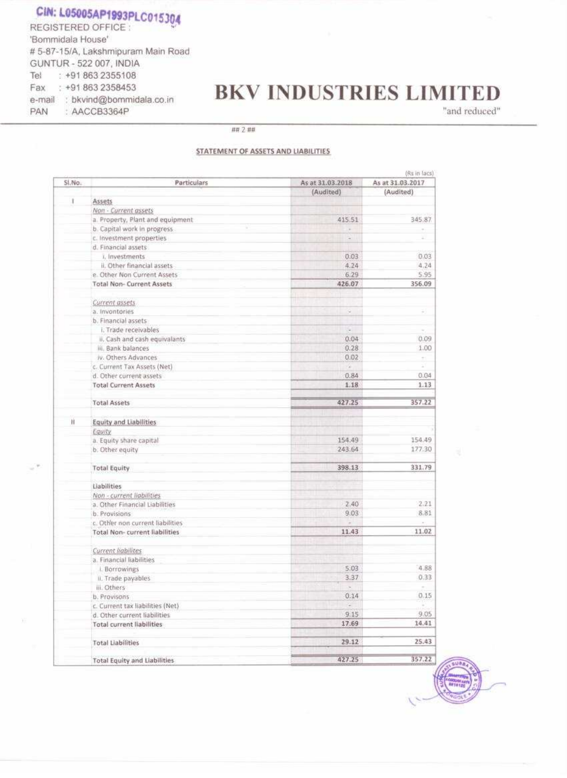#### CIN: L05005AP1993PLC015304 REGISTERED OFFICE: 'Bommidala House' # 5-87-15/A, Lakshmipuram Main Road GUNTUR - 522 007, INDIA

: +91 863 2355108

e-mail : bkvind@bommidala.co.in

: AACCB3364P

Fax: +91 863 2358453

Tel

PAN

## **BKV INDUSTRIES LIMITED**

"and reduced"

## 2 ##

#### STATEMENT OF ASSETS AND LIABILITIES

|        | (Rs in lacs)                         |                  |                  |  |  |
|--------|--------------------------------------|------------------|------------------|--|--|
| SI.No. | Particulars                          | As at 31.03.2018 | As at 31.03.2017 |  |  |
|        |                                      | (Audited)        | (Audited)        |  |  |
| τ      | Assets                               |                  |                  |  |  |
|        | Non - Current assets                 |                  |                  |  |  |
|        | a. Property, Plant and equipment     | 415.51           | 345.87           |  |  |
|        | b. Capital work in progress          | ×.               | $\sim$           |  |  |
|        | c. Investment properties             | $\sim$           |                  |  |  |
|        | d. Financial assets                  |                  |                  |  |  |
|        | i. Investments                       | 0.03             | 0.03             |  |  |
|        | il. Other financial assets           | 4.24             | 4.24             |  |  |
|        | e. Other Non Current Assets          | 6.29             | 5.95             |  |  |
|        | <b>Total Non-Current Assets</b>      | 426.07           | 356.09           |  |  |
|        |                                      |                  |                  |  |  |
|        | Current assets                       |                  |                  |  |  |
|        | a. Invontories                       | Q)               | $\rightarrow$    |  |  |
|        | b. Financial assets                  |                  |                  |  |  |
|        | i. Trade receivables                 | w.               |                  |  |  |
|        | ii. Cash and cash equivalants        | 0.04             | 0.09             |  |  |
|        | iii. Bank balances                   | 0.28             | 1.00             |  |  |
|        | iv. Others Advances                  | 0.02             |                  |  |  |
|        | c. Current Tax Assets (Net)          |                  |                  |  |  |
|        | d. Other current assets              | 0.84             | 0.04             |  |  |
|        | <b>Total Current Assets</b>          | 1.18             | 1.13             |  |  |
|        |                                      |                  |                  |  |  |
|        | <b>Total Assets</b>                  | 427.25           | 357.22           |  |  |
| Ħ      |                                      |                  |                  |  |  |
|        | <b>Equity and Liabilities</b>        |                  |                  |  |  |
|        | Equity                               | 154.49           |                  |  |  |
|        | a. Equity share capital              |                  | 154.49           |  |  |
|        | b. Other equity                      | 243.64           | 177.30           |  |  |
|        | <b>Total Equity</b>                  | 398.13           | 331.79           |  |  |
|        | Liabilities                          |                  |                  |  |  |
|        | Non - current liabilities            |                  |                  |  |  |
|        | a. Other Financial Liabilities       | 2.40             | 2.21             |  |  |
|        | b. Provisions                        | 9.03             | 8.81             |  |  |
|        |                                      |                  |                  |  |  |
|        | c. Other non current liabilities     | 11.43            | 11.02            |  |  |
|        | <b>Total Non-current liabilities</b> |                  |                  |  |  |
|        | Current liabilites                   |                  |                  |  |  |
|        | a. Financial liabilities             |                  |                  |  |  |
|        | I. Borrowings                        | 5.03             | 4.88             |  |  |
|        | II. Trade payables                   | 3.37             | 0,33             |  |  |
|        | iii. Others                          |                  |                  |  |  |
|        | b. Provisons                         | 0.14             | 0.15             |  |  |

b. Provisons c. Current tax liabilities (Net) d. Other current liabilities **Total current liabilities** 

**Total Liabilities** 

#### **Total Equity and Liabilities**

| TATE STOP |
|-----------|
| 9.05      |
| 14.41     |
| 25.43     |
| 357.22    |
|           |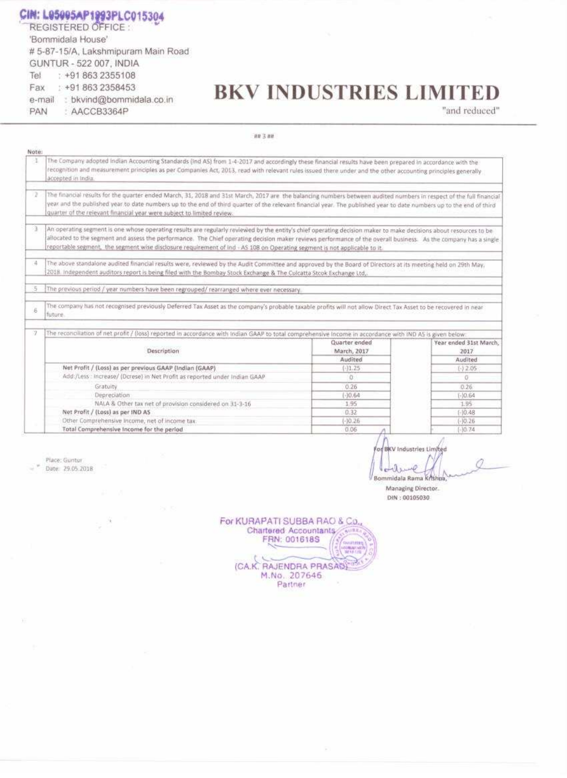CIN: L05005AP1993PLC015304

|     | <b>REGISTERED OFFICE</b>           |
|-----|------------------------------------|
|     | 'Bommidala House'                  |
|     | #5-87-15/A, Lakshmipuram Main Road |
|     | GUNTUR - 522 007, INDIA            |
|     | Tel: +91 863 2355108               |
|     | Fax: +91 863 2358453               |
|     | e-mail : bkvind@bommidala.co.in    |
| PAN | AACCB3364P                         |

# **BKV INDUSTRIES LIMITED**

"and reduced"

88 3 88

| Note: |                                                                                                                                                                                                                                                                                                                                                                                                                                                                    |                              |                                |  |  |
|-------|--------------------------------------------------------------------------------------------------------------------------------------------------------------------------------------------------------------------------------------------------------------------------------------------------------------------------------------------------------------------------------------------------------------------------------------------------------------------|------------------------------|--------------------------------|--|--|
| -1    | The Company adopted indian Accounting Standards (Ind AS) from 1-4-2017 and accordingly these financial results have been prepared in accordance with the<br>recognition and measurement principles as per Companies Act, 2013, read with relevant rules issued there under and the other accounting principles generally<br>accepted in India.                                                                                                                     |                              |                                |  |  |
| 2.    | The financial results for the quarter ended March, 31, 2018 and 31st March, 2017 are the balancing numbers between audited numbers in respect of the full financial<br>year and the published year to date numbers up to the end of third quarter of the relevant financial year. The published year to date numbers up to the end of third<br>quarter of the relevant financial year were subject to limited review.                                              |                              |                                |  |  |
| э     | An operating segment is one whose operating results are regularly reviewed by the entity's chief operating decision maker to make decisions about resources to be<br>allocated to the segment and assess the performance. The Chief operating decision maker reviews performance of the overall business. As the company has a single<br>reportable segment, the segment wise disclosure requirement of Ind - AS 108 on Operating segment is not applicable to it. |                              |                                |  |  |
| 16    | The above standalone audited financial results were, reviewed by the Audit Committee and approved by the Board of Directors at its meeting held on 29th May,<br>2018, independent auditors report is being filed with the Bombay Stock Exchange & The Culcatta Stock Exchange Ltd.,                                                                                                                                                                                |                              |                                |  |  |
| 5.    | The previous period / year numbers have been regrouped/ rearranged where ever necessary.                                                                                                                                                                                                                                                                                                                                                                           |                              |                                |  |  |
| 6     | The company has not recognised previously Deferred Tax Asset as the company's probable taxable profits will not allow Direct Tax Asset to be recovered in near<br>future.                                                                                                                                                                                                                                                                                          |                              |                                |  |  |
| Y.    | The reconciliation of net profit / (loss) reported in accordance with Indian GAAP to total comprehensive Income in accordance with IND AS is given below.                                                                                                                                                                                                                                                                                                          |                              |                                |  |  |
|       | Description                                                                                                                                                                                                                                                                                                                                                                                                                                                        | Quarter ended<br>March, 2017 | Year ended 31st March,<br>2017 |  |  |
|       |                                                                                                                                                                                                                                                                                                                                                                                                                                                                    | Audited                      | Audited                        |  |  |
|       | Net Profit / (Loss) as per previous GAAP (Indian (GAAP)                                                                                                                                                                                                                                                                                                                                                                                                            | $( - )1.25$                  | $( - ) 2.05$                   |  |  |
|       | Add:/Less : Increase/ (Dcrese) in Net Profit as reported under Indian GAAP                                                                                                                                                                                                                                                                                                                                                                                         | O.                           | O.                             |  |  |
|       | Gratuity                                                                                                                                                                                                                                                                                                                                                                                                                                                           | 0.26                         | 0.26                           |  |  |
|       | Depreciation:                                                                                                                                                                                                                                                                                                                                                                                                                                                      | $(-)0.64$                    | $[-10.64]$                     |  |  |
|       | NALA & Other tax net of provision considered on 31-3-16                                                                                                                                                                                                                                                                                                                                                                                                            | 1.95                         | 1.95                           |  |  |
|       | Net Profit / (Loss) as per IND AS<br>Other Comprehensive Income, net of income tax.                                                                                                                                                                                                                                                                                                                                                                                | 0.32<br>$(-10.26)$           | $[-]0.48$<br>$(-10.26)$        |  |  |
|       | Total Comprehensive Income for the period                                                                                                                                                                                                                                                                                                                                                                                                                          | 0.06                         | $[-]$ (): 74                   |  |  |

Place: Guntur Date: 29.05.2018

> $\mathcal{A}_\mathcal{R}$ ş

of BKV Industries Limited 0 œ Bommidala Rama Krishoa,

Managing Director. DIN: 00105030



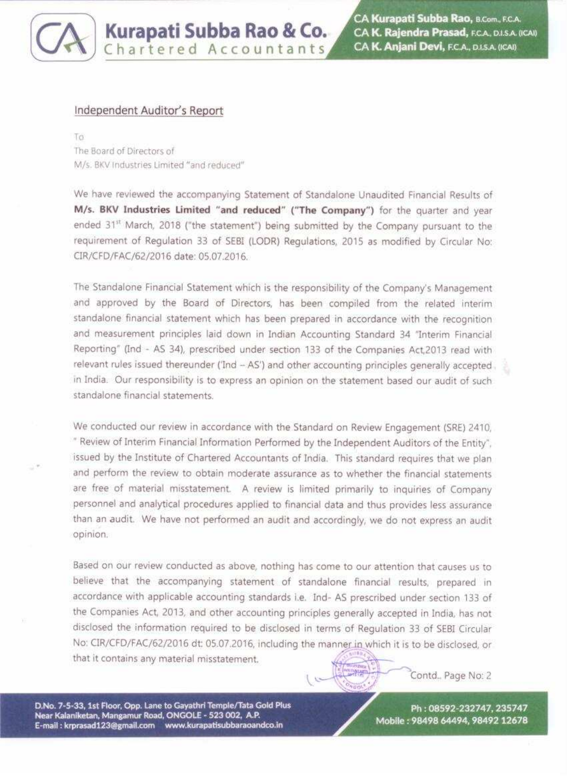## Kurapati Subba Rao & Co. Chartered Accountants

CA Kurapati Subba Rao, B.Com., F.C.A. CA K. Rajendra Prasad, F.C.A., D.I.S.A. (ICAI) CA K. Anjani Devi, F.C.A., D.I.S.A. (ICAI)

#### Independent Auditor's Report

To The Board of Directors of M/s. BKV Industries Limited "and reduced"

We have reviewed the accompanying Statement of Standalone Unaudited Financial Results of M/s. BKV Industries Limited "and reduced" ("The Company") for the quarter and year ended 31st March, 2018 ("the statement") being submitted by the Company pursuant to the requirement of Regulation 33 of SEBI (LODR) Regulations, 2015 as modified by Circular No: CIR/CFD/FAC/62/2016 date: 05.07.2016.

The Standalone Financial Statement which is the responsibility of the Company's Management and approved by the Board of Directors, has been compiled from the related interim standalone financial statement which has been prepared in accordance with the recognition and measurement principles laid down in Indian Accounting Standard 34 "Interim Financial Reporting" (Ind - AS 34), prescribed under section 133 of the Companies Act, 2013 read with relevant rules issued thereunder ('Ind - AS') and other accounting principles generally accepted. in India. Our responsibility is to express an opinion on the statement based our audit of such standalone financial statements.

We conducted our review in accordance with the Standard on Review Engagement (SRE) 2410, " Review of Interim Financial Information Performed by the Independent Auditors of the Entity", issued by the Institute of Chartered Accountants of India. This standard requires that we plan and perform the review to obtain moderate assurance as to whether the financial statements are free of material misstatement. A review is limited primarily to inquiries of Company personnel and analytical procedures applied to financial data and thus provides less assurance than an audit. We have not performed an audit and accordingly, we do not express an audit opinion.

Based on our review conducted as above, nothing has come to our attention that causes us to believe that the accompanying statement of standalone financial results, prepared in accordance with applicable accounting standards i.e. Ind- AS prescribed under section 133 of the Companies Act, 2013, and other accounting principles generally accepted in India, has not disclosed the information required to be disclosed in terms of Regulation 33 of SEBI Circular No: CIR/CFD/FAC/62/2016 dt: 05.07.2016, including the manner in which it is to be disclosed, or that it contains any material misstatement. **Ricerance COMPANY** Contd., Page No: 2 D.No. 7-5-33, 1st Floor, Opp. Lane to Gayathri Temple/Tata Gold Plus Ph: 08592-232747, 235747 Near Kalaniketan, Mangamur Road, ONGOLE - 523 002, A.P. Mobile: 98498 64494, 98492 12678 E-mail: krprasad123@gmail.com www.kurapatisubbaraoandco.in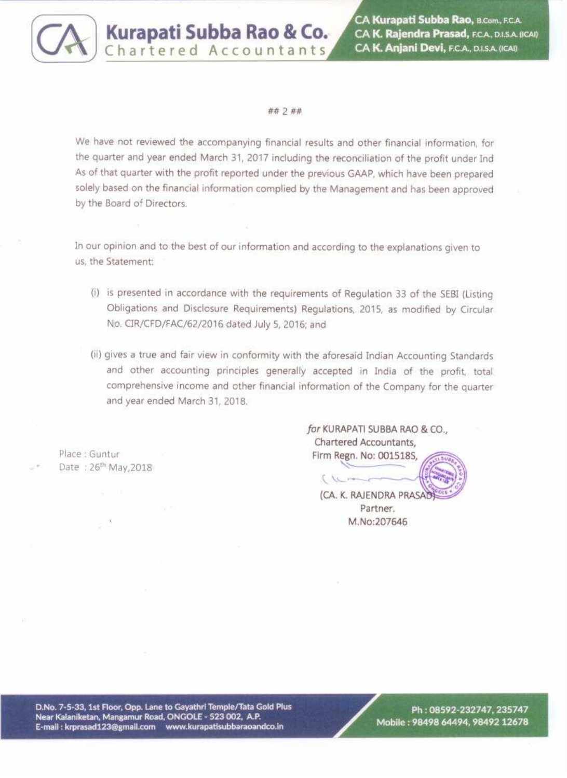

# Kurapati Subba Rao & Co.

CA Kurapati Subba Rao, B.Com., F.C.A. CA K. Rajendra Prasad, F.C.A., D.I.S.A. (ICAI) CA K. Anjani Devi, F.C.A., D.I.S.A. (ICAI)

#### ## 2 ##

We have not reviewed the accompanying financial results and other financial information, for the quarter and year ended March 31, 2017 including the reconciliation of the profit under Ind As of that quarter with the profit reported under the previous GAAP, which have been prepared solely based on the financial information complied by the Management and has been approved by the Board of Directors.

In our opinion and to the best of our information and according to the explanations given to us, the Statement:

- (i) is presented in accordance with the requirements of Regulation 33 of the SEBI (Listing Obligations and Disclosure Requirements) Regulations, 2015, as modified by Circular No. CIR/CFD/FAC/62/2016 dated July 5, 2016; and
- (ii) gives a true and fair view in conformity with the aforesaid Indian Accounting Standards and other accounting principles generally accepted in India of the profit, total comprehensive income and other financial information of the Company for the quarter and year ended March 31, 2018.

Place : Guntur Date: 26th May, 2018

for KURAPATI SUBBA RAO & CO., Chartered Accountants, Firm Regn. No: 001518S,  $\sqrt{2}$ (CA. K. RAJENDRA PRASA Partner. M.No:207646

D.No. 7-5-33, 1st Floor, Opp. Lane to Gayathri Temple/Tata Gold Plus Near Kalaniketan, Mangamur Road, ONGOLE - 523 002, A.P. E-mail: krprasad123@gmail.com www.kurapatisubbaraoandco.in

#### Ph: 08592-232747, 235747 Mobile: 98498 64494, 98492 12678